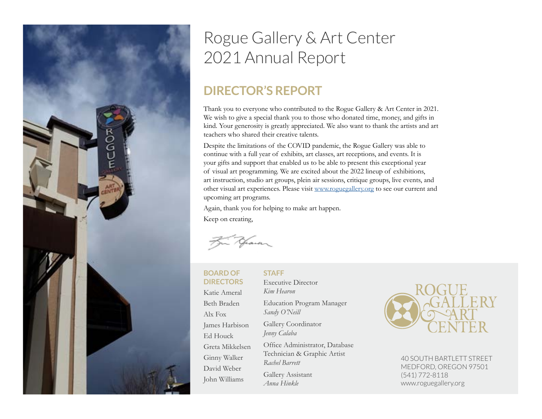

# Rogue Gallery & Art Center 2021 Annual Report

## **DIRECTOR'S REPORT**

Thank you to everyone who contributed to the Rogue Gallery & Art Center in 2021. We wish to give a special thank you to those who donated time, money, and gifts in kind. Your generosity is greatly appreciated. We also want to thank the artists and art teachers who shared their creative talents.

Despite the limitations of the COVID pandemic, the Rogue Gallery was able to continue with a full year of exhibits, art classes, art receptions, and events. It is your gifts and support that enabled us to be able to present this exceptional year of visual art programming. We are excited about the 2022 lineup of exhibitions, art instruction, studio art groups, plein air sessions, critique groups, live events, and other visual art experiences. Please visit [www.roguegallery.org](http://roguegallery.org) to see our current and upcoming art programs.

Again, thank you for helping to make art happen. Keep on creating,

pain

# **BOARD OF**

Katie Ameral Beth Braden Alx Fox

James Harbison Ed Houck

Greta Mikkelsen Ginny Walker David Weber John Williams

**DIRECTORS** Executive Director *Kim Hearon* **STAFF**

> Education Program Manager *Sandy O'Neill*

Gallery Coordinator *Jenny Calaba*

Office Administrator, Database Technician & Graphic Artist *Rachel Barrett*

Gallery Assistant *Anna Hinkle*



40 SOUTH BARTLETT STREET MEDFORD, OREGON 97501 (541) 772-8118 www.roguegallery.org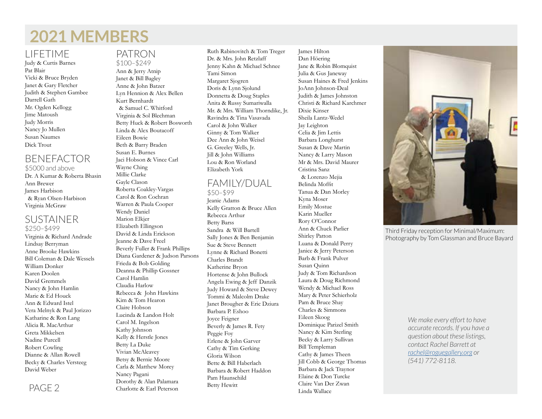# **2021 MEMBERS**

#### LIFETIME

Judy & Curtis Barnes Pat Blair Vicki & Bruce Bryden Janet & Gary Fletcher Judith & Stephen Gambee Darrell Gath Mr. Ogden Kellogg Jime Matoush Judy Morris Nancy Jo Mullen Susan Naumes Dick Trout

## BENEFACTOR

\$5000 and above Dr. A Kumar & Roberta Bhasin Ann Brewer James Harbison & Ryan Olsen-Harbison Virginia McGraw

#### SUSTAINER \$250–\$499

Virginia & Richard Andrade Lindsay Berryman Anne Brooke Hawkins Bill Coleman & Dale Wessels William Donker Karen Doolen David Gremmels Nancy & John Hamlin Marie & Ed Houck Ann & Edward Istel Vera Melnyk & Paul Jorizzo Katharine & Ron Lang Alicia R. MacArthur Greta Mikkelsen Nadine Purcell Robert Cowling Dianne & Allan Rowell Becky & Charles Versteeg David Weber

# PATRON

\$100–\$249 Ann & Jerry Atnip Janet & Bill Bagley Anne & John Batzer Lyn Hennion & Alex Bellen Kurt Bernhardt & Samuel C. Whitford Virginia & Sol Blechman Betty Huck & Robert Bosworth Linda & Alex Boutacoff Eileen Bowie Beth & Barry Braden Susan E. Burnes Jaci Hobson & Vince Carl Wayne Ching Millie Clarke Gayle Clason Roberta Coakley-Vargas Carol & Ron Cochran Warren & Paula Cooper Wendy Daniel Marion Elkjer Elizabeth Ellingson David & Linda Erickson Jeanne & Dave Freel Beverly Fuller & Frank Phillips Diana Gardener & Judson Parsons Frieda & Bob Golding Deanna & Phillip Gossner Carol Hamlin Claudia Harlow Rebecca & John Hawkins Kim & Tom Hearon Claire Hobson Lucinda & Landon Holt Carol M. Ingelson Kathy Johnson Kelly & Herstle Jones Betty La Duke Vivian McAleavey Betsy & Bernie Moore Carla & Matthew Morey Nancy Pagani Dorothy & Alan Palamara Charlotte & Earl Peterson

Ruth Rabinovitch & Tom Treger Dr. & Mrs. John Retzlaff Jenny Kahn & Michael Schnee Tami Simon Margaret Sjogren Doris & Lynn Sjolund Donnetta & Doug Staples Anita & Russy Sumariwalla Mr. & Mrs. William Thorndike, Jr. Ravindra & Tina Vasavada Carol & John Walker Ginny & Tom Walker Dee Ann & John Weisel G. Greeley Wells, Jr. Jill & John Williams Lou & Ron Worland Elizabeth York

#### FAMILY/DUAL \$50–\$99

Jeanie Adams Kelly Gratton & Bruce Allen Rebecca Arthur Betty Barss Sandra & Will Bartell Sally Jones & Ben Benjamin Sue & Steve Bennett Lynne & Richard Bonetti Charles Brandt Katherine Bryon Hortense & John Bullock Angela Ewing & Jeff Danzik Judy Howard & Steve Dewey Tommi & Malcolm Drake Janet Brougher & Eric Dziura Barbara P. Eshoo Joyce Feigner Beverly & James R. Fety Peggie Foy Erlene & John Garver Cathy & Tim Gerking Gloria Wilson Bette & Bill Haberlach Barbara & Robert Haddon Pam Haunschild Betty Hewitt

James Hilton Dan Höering Jane & Robin Blomquist Julia & Gus Janeway Susan Haines & Fred Jenkins JoAnn Johnson-Deal Judith & James Johnston Christi & Richard Karchmer Dixie Kinser Sheila Lantz-Wedel Jay Leighton Celia & Jim Lettis Barbara Longhurst Susan & Dave Martin Nancy & Larry Mason Mr & Mrs. David Maurer Cristina Sanz & Lorenzo Mejia Belinda Moffit Tanua & Dan Morley Kyna Moser Emily Mostue Karin Mueller Rory O'Connor Ann & Chuck Parlier Shirley Patton Luana & Donald Perry Janice & Jerry Peterson Barb & Frank Pulver Susan Quinn Judy & Tom Richardson Laura & Doug Richmond Wendy & Michael Ross Mary & Peter Schierholz Pam & Bruce Shay Charles & Simmons Eileen Skoog Dominique Parizel Smith Nancy & Kim Sterling Becky & Larry Sullivan Bill Templeman Cathy & James Theen Jill Cobb & George Thomas Barbara & Jack Traynor Elaine & Don Turcke Claire Van Der Zwan Linda Wallace



Third Friday reception for Minimal/Maximum: Photography by Tom Glassman and Bruce Bayard

*We make every effort to have accurate records. If you have a question about these listings, contact Rachel Barrett at [rachel@roguegallery.org](mailto:rachel%40roguegallery.org%20?subject=Questions%20on%20newsletter) or (541) 772-8118.*

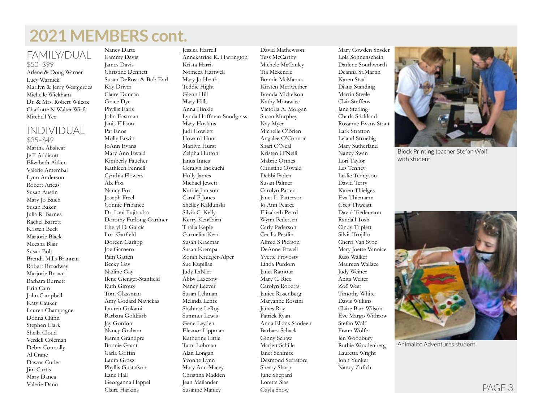# **2021 MEMBERS cont.**

#### FAMILY/DUAL \$50–\$99

Arlene & Doug Warner Lucy Warnick Marilyn & Jerry Westgerdes Michelle Wickham Dr. & Mrs. Robert Wilcox Charlotte & Walter Wirfs Mitchell Yee

## INDIVIDUAL

\$35–\$49 Martha Abshear Jeff Addicott Elizabeth Aitken Valerie Amembal Lynn Anderson Robert Arieas Susan Austin Mary Jo Baich Susan Baker Julia R. Barnes Rachel Barrett Kristen Beck Marjorie Black Meesha Blair Susan Bolt Brenda Mills Brannan Robert Broadway Marjorie Brown Barbara Burnett Erin Cam John Campbell Katy Cauker Lauren Champagne Donna Chinn Stephen Clark Sheila Cloud Verdell Coleman Debra Connolly Al Crane Dawna Curler Jim Curtis Mary Danca Valerie Dann

Nancy Darte Cammy Davis James Davis Christine Dennett Susan DeRosa & Bob Earl Kay Driver Claire Duncan Grace Dye Phyllis Earls John Eastman Janis Ellison Pat Enos Molly Erwin JoAnn Evans Mary Ann Ewald Kimberly Faucher Kathleen Fennell Cynthia Flowers Alx Fox Nancy Fox Joseph Freel Connie Fribance Dr. Lani Fujitsubo Dorothy Furlong-Gardner Cheryl D. Garcia Lori Garfield Doreen Garlipp Joe Garnero Pam Gatten Becky Gay Nadine Gay Ilene Gienger-Stanfield Ruth Giroux Tom Glassman Amy Godard Navickas Lauren Gokami Barbara Goldfarb Jay Gordon Nancy Graham Karen Grandpre Bonnie Grant Carla Griffin Laura Grosz Phyllis Gustafson Lane Hall Georganna Happel Claire Harkins

Jessica Harrell Annekatrine K. Harrington Krista Harris Nomeca Hartwell Mary Jo Heath Teddie Hight Glenn Hill Mary Hills Anna Hinkle Lynda Hoffman-Snodgrass Mary Hoskins Judi Howlett Howard Hunt Marilyn Hurst Zelpha Hutton Janus Innes Geralyn Inokuchi Holly James Michael Jewett Kathie Jimison Carol P Jones Shelley Kaldunski Silvia C. Kelly Kerry KenCairn Thalia Keple Carmelita Kerr Susan Kracmar Susan Krempa Zorah Krueger-Alper Sue Kupillas Judy LaNier Abby Lazerow Nancy Leever Susan Lehman Melinda Lentz Shahnaz LeRoy Summer Lewis Gene Leyden Eleanor Lippman Katherine Little Tami Lohman Alan Longan Yvonne Lynn Mary Ann Macey Christina Madden Jean Mailander Susanne Manley

David Mathewson Tess McCarthy Michele McCauley Tia Mckenzie Bonnie McManus Kirsten Meriwether Brenda Mickelson Kathy Morawiec Victoria A. Morgan Susan Murphey Kay Myer Michelle O'Brien Angalee O'Connor Shari O'Neal Kristen O'Neill Mabrie Ormes Christine Oswald Debbi Paden Susan Palmer Carolyn Patten Janet L. Patterson Jo Ann Pearce Elizabeth Peard Wynn Pedersen Carly Pederson Cecilia Pestlin Alfred S Pierson DeAnne Powell Yvette Provosty Linda Purdom Janet Ratnour Mary C. Rice Carolyn Roberts Janice Rosenberg Maryanne Rossini James Roy Patrick Ryan Anna Elkins Sandeen Barbara Schack Ginny Schaw Mariett Schille Janet Schmitz Desmond Serratore Sherry Sharp June Shepard Loretta Sias Gayla Snow

Mary Cowden Snyder Lola Sonnenschein Darlene Southworth Deanna St.Martin Karen Staal Diana Standing Martin Steele Clair Steffens Jane Sterling Charla Stickland Roxanne Evans Stout Lark Stratton Leland Struebig Mary Sutherland Nancy Swan Lori Taylor Les Tenney Leslie Tennyson David Terry Karen Thielges Eva Thiemann Greg Thweatt David Tiedemann Randall Tosh Cindy Triplett Silvia Trujillo Cherri Van Syoc Mary Joette Vannice Russ Walker Maureen Wallace Judy Weiner Anita Welter Zoë West Timothy White Davis Wilkins Claire Barr Wilson Eve Margo Withrow Stefan Wolf Frann Wolfe Jen Woodbury Ruthie Woudenberg Lauretta Wright John Yunker Nancy Zufich



Block Printing teacher Stefan Wolf with student



Animalito Adventures student

PAGE 3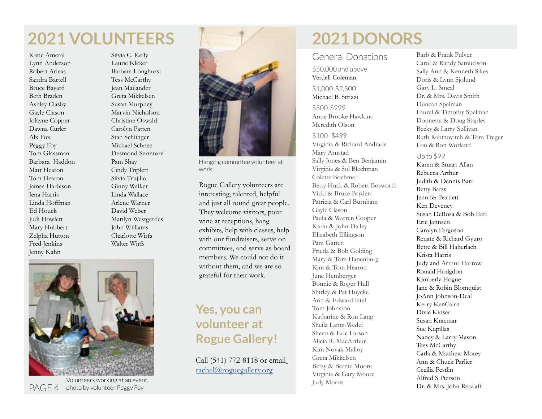# **2021 VOLUNTEERS**

Katie Ameral Lynn Anderson Robert Arieas Sandra Bartell Bruce Bayard Beth Braden Ashley Clasby Gayle Clason Jolayne Copper Dawna Curler Alx Fox Peggy Foy Tom Glassman Barbara Haddon Matt Hearon Tom Hearon James Harbison Jena Harris Linda Hoffman Ed Houck Judi Howlett Mary Hubbert Zelpha Hutton Fred Jenkins Jenny Kahn

Silvia C. Kelly Laurie Kleker Barbara Longhurst Tess McCarthy Jean Mailander Greta Mikkelsen Susan Murphey Marvin Nicholson Christine Oswald Carolyn Patten Stan Schlinger Michael Schnee Desmond Serratore Pam Shay Cindy Triplett Silvia Trujillo Ginny Walker Linda Wallace Arlene Warner David Weber Marilyn Westgerdes John Williams Charlotte Wirfs Walter Wirfs



PAGE 4 photo by volunteer Peggy Foy Volunteers working at an event,



Hanging committee volunteer at work

Rogue Gallery volunteers are interesting, talented, helpful and just all round great people. They welcome visitors, pour wine at receptions, hang exhibits, help with classes, help with our fundraisers, serve on committees, and serve as board members. We could not do it without them, and we are so grateful for their work.

## **Yes, you can volunteer at Rogue Gallery!**

Call (541) 772-8118 or email [rachel@roguegallery.org](mailto:%20rachel%40roguegallery.org?subject=Volunteering%20at%20Rogue%20Gallery)

# **2021 DONORS**

#### General Donations

\$50,000 and above Verdell Coleman

#### \$1,000-\$2,500 Michael B. Strizzi

\$500-\$999 Anne Brooke Hawkins Meredith Olson

\$100 -\$499 Virginia & Richard Andrade Mary Arnstad Sally Jones & Ben Benjamin Virginia & Sol Blechman Colette Boehmer Betty Huck & Robert Bosworth Vicki & Bruce Bryden Patricia & Carl Burnham Gayle Clason Paula & Warren Cooper Karin & John Dailey Elizabeth Ellingson Pam Gatten Frieda & Bob Golding Mary & Tom Hanenburg Kim & Tom Hearon June Hemberger Bonnie & Roger Hull Shirley & Pat Huycke Ann & Edward Istel Tom Johnston Katharine & Ron Lang Sheila Lantz-Wedel Sherri & Eric Larson Alicia R. MacArthur Kim Novak Malloy Greta Mikkelsen Betsy & Bernie Moore Virginia & Gary Moore Judy Morris

Barb & Frank Pulver Carol & Randy Samuelson Sally Ann & Kenneth Sikes Doris & Lynn Sjolund Gary L. Smeal Dr. & Mrs. Davis Smith Duncan Spelman Laurel & Timothy Spelman Donnetta & Doug Staples Becky & Larry Sullivan Ruth Rabinovitch & Tom Treger Lou & Ron Worland

#### Up to \$99

Karen & Stuart Allan Rebecca Arthur Judith & Dennis Barr Betty Barss Jennifer Bartlett Ken Deveney Susan DeRosa & Bob Earl Eric Jannsen Carolyn Ferguson Renate & Richard Gyuro Bette & Bill Haberlach Krista Harris Judy and Arthur Harrow Ronald Hodgdon Kimberly Hogue Jane & Robin Blomquist JoAnn Johnson-Deal Kerry KenCairn Dixie Kinser Susan Kracmar Sue Kupillas Nancy & Larry Mason Tess McCarthy Carla & Matthew Morey Ann & Chuck Parlier Cecilia Pestlin Alfred S Pierson Dr. & Mrs. John Retzlaff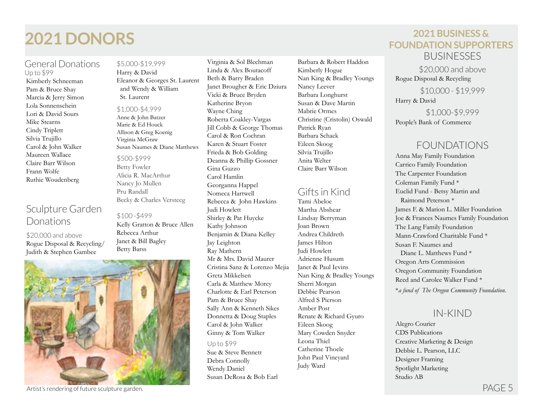# **2021 DONORS 2021 BUSINESS &**

#### General Donations Up to \$99

Kimberly Schneeman Pam & Bruce Shay Marcia & Jerry Simon Lola Sonnenschein Lori & David Sours Mike Stearns Cindy Triplett Silvia Trujillo Carol & John Walker Maureen Wallace Claire Barr Wilson Frann Wolfe Ruthie Woudenberg

## Sculpture Garden Donations

\$20,000 and above Rogue Disposal & Recycling/ Judith & Stephen Gambee

#### \$5,000-\$19,999 Harry & David Eleanor & Georges St. Laurent and Wendy & William St. Laurent

#### \$1,000-\$4,999

Anne & John Batzer Marie & Ed Houck Allison & Greg Koenig Virginia McGraw Susan Naumes & Diane Matthews

#### \$500-\$999

Betty Fowler Alicia R. MacArthur Nancy Jo Mullen Pru Randall Becky & Charles Versteeg

#### \$100 -\$499

Kelly Gratton & Bruce Allen Rebecca Arthur Janet & Bill Bagley Betty Barss



Artist's rendering of future sculpture garden. PAGE 5

Virginia & Sol Blechman Linda & Alex Boutacoff Beth & Barry Braden Janet Brougher & Eric Dziura Vicki & Bruce Bryden Katherine Bryon Wayne Ching Roberta Coakley-Vargas Jill Cobb & George Thomas Carol & Ron Cochran Karen & Stuart Foster Frieda & Bob Golding Deanna & Phillip Gossner Gina Guzzo Carol Hamlin Georganna Happel Nomeca Hartwell Rebecca & John Hawkins Judi Howlett Shirley & Pat Huycke Kathy Johnson Benjamin & Diana Kelley Jay Leighton Ray Mathern Mr & Mrs. David Maurer Cristina Sanz & Lorenzo Mejia Greta Mikkelsen Carla & Matthew Morey Charlotte & Earl Peterson Pam & Bruce Shay Sally Ann & Kenneth Sikes Donnetta & Doug Staples Carol & John Walker Ginny & Tom Walker Up to \$99

Sue & Steve Bennett Debra Connolly Wendy Daniel Susan DeRosa & Bob Earl

Barbara & Robert Haddon Kimberly Hogue Nan King & Bradley Youngs Nancy Leever Barbara Longhurst Susan & Dave Martin Mabrie Ormes Christine (Cristolin) Oswald Patrick Ryan Barbara Schack Eileen Skoog Silvia Trujillo Anita Welter Claire Barr Wilson

### Gifts in Kind

Tami Abeloe Martha Abshear Lindsay Berryman Joan Brown Andrea Childreth James Hilton Judi Howlett Adrienne Husum Janet & Paul Ievins Nan King & Bradley Youngs Sherri Morgan Debbie Pearson Alfred S Pierson Amber Post Renate & Richard Gyuro Eileen Skoog Mary Cowden Snyder Leona Thiel Catherine Thoele John Paul Vineyard Judy Ward

**FOUNDATION SUPPORTERS BUSINESSES** 

\$20,000 and above Rogue Disposal & Recycling

\$10,000 - \$19,999 Harry & David

\$1,000-\$9,999 People's Bank of Commerce

### FOUNDATIONS

Anna May Family Foundation Carrico Family Foundation The Carpenter Foundation Coleman Family Fund \* Euclid Fund - Betsy Martin and Raimond Peterson \* James F. & Marion L. Miller Foundation Joe & Frances Naumes Family Foundation The Lang Family Foundation Mann-Crawford Charitable Fund \* Susan F. Naumes and Diane L. Matthews Fund \* Oregon Arts Commission Oregon Community Foundation Reed and Carolee Walker Fund \*

\**a fund of The Oregon Community Foundation.*

### IN-KIND

Alegro Courier CDS Publications Creative Marketing & Design Debbie L. Pearson, LLC Designer Framing Spotlight Marketing Studio AB